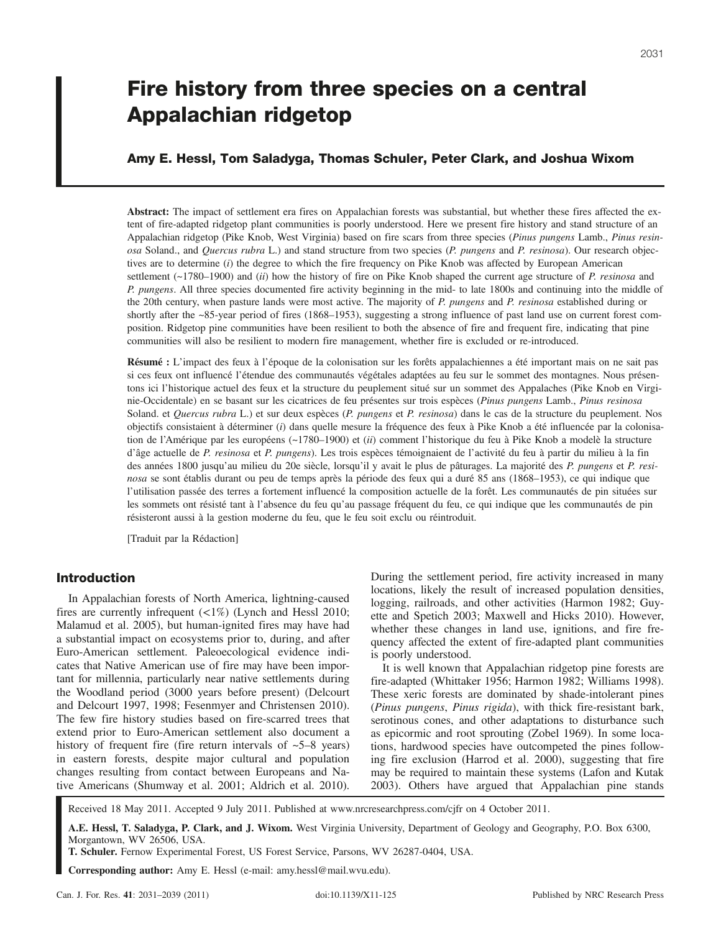# Fire history from three species on a central Appalachian ridgetop

# Amy E. Hessl, Tom Saladyga, Thomas Schuler, Peter Clark, and Joshua Wixom

Abstract: The impact of settlement era fires on Appalachian forests was substantial, but whether these fires affected the extent of fire-adapted ridgetop plant communities is poorly understood. Here we present fire history and stand structure of an Appalachian ridgetop (Pike Knob, West Virginia) based on fire scars from three species (Pinus pungens Lamb., Pinus resinosa Soland., and Quercus rubra L.) and stand structure from two species (P. pungens and P. resinosa). Our research objectives are to determine (i) the degree to which the fire frequency on Pike Knob was affected by European American settlement  $(\sim 1780-1900)$  and (ii) how the history of fire on Pike Knob shaped the current age structure of P. resinosa and P. pungens. All three species documented fire activity beginning in the mid- to late 1800s and continuing into the middle of the 20th century, when pasture lands were most active. The majority of P. pungens and P. resinosa established during or shortly after the ~85-year period of fires (1868–1953), suggesting a strong influence of past land use on current forest composition. Ridgetop pine communities have been resilient to both the absence of fire and frequent fire, indicating that pine communities will also be resilient to modern fire management, whether fire is excluded or re-introduced.

Résumé : L'impact des feux à l'époque de la colonisation sur les forêts appalachiennes a été important mais on ne sait pas si ces feux ont influencé l'étendue des communautés végétales adaptées au feu sur le sommet des montagnes. Nous présentons ici l'historique actuel des feux et la structure du peuplement situé sur un sommet des Appalaches (Pike Knob en Virginie-Occidentale) en se basant sur les cicatrices de feu présentes sur trois espèces (Pinus pungens Lamb., Pinus resinosa Soland. et Quercus rubra L.) et sur deux espèces (P. pungens et P. resinosa) dans le cas de la structure du peuplement. Nos objectifs consistaient à déterminer (i) dans quelle mesure la fréquence des feux à Pike Knob a été influencée par la colonisation de l'Amérique par les européens (~1780–1900) et (ii) comment l'historique du feu à Pike Knob a modelè la structure d'âge actuelle de P. resinosa et P. pungens). Les trois espèces témoignaient de l'activité du feu à partir du milieu à la fin des années 1800 jusqu'au milieu du 20e siècle, lorsqu'il y avait le plus de pâturages. La majorité des P. pungens et P. resinosa se sont établis durant ou peu de temps après la période des feux qui a duré 85 ans (1868–1953), ce qui indique que l'utilisation passée des terres a fortement influencé la composition actuelle de la forêt. Les communautés de pin situées sur les sommets ont résisté tant à l'absence du feu qu'au passage fréquent du feu, ce qui indique que les communautés de pin résisteront aussi à la gestion moderne du feu, que le feu soit exclu ou réintroduit.

[Traduit par la Rédaction]

## Introduction

In Appalachian forests of North America, lightning-caused fires are currently infrequent  $\left($  <1%) (Lynch and Hessl 2010; Malamud et al. 2005), but human-ignited fires may have had a substantial impact on ecosystems prior to, during, and after Euro-American settlement. Paleoecological evidence indicates that Native American use of fire may have been important for millennia, particularly near native settlements during the Woodland period (3000 years before present) (Delcourt and Delcourt 1997, 1998; Fesenmyer and Christensen 2010). The few fire history studies based on fire-scarred trees that extend prior to Euro-American settlement also document a history of frequent fire (fire return intervals of  $\sim$ 5–8 years) in eastern forests, despite major cultural and population changes resulting from contact between Europeans and Native Americans (Shumway et al. 2001; Aldrich et al. 2010). During the settlement period, fire activity increased in many locations, likely the result of increased population densities, logging, railroads, and other activities (Harmon 1982; Guyette and Spetich 2003; Maxwell and Hicks 2010). However, whether these changes in land use, ignitions, and fire frequency affected the extent of fire-adapted plant communities is poorly understood.

It is well known that Appalachian ridgetop pine forests are fire-adapted (Whittaker 1956; Harmon 1982; Williams 1998). These xeric forests are dominated by shade-intolerant pines (Pinus pungens, Pinus rigida), with thick fire-resistant bark, serotinous cones, and other adaptations to disturbance such as epicormic and root sprouting (Zobel 1969). In some locations, hardwood species have outcompeted the pines following fire exclusion (Harrod et al. 2000), suggesting that fire may be required to maintain these systems (Lafon and Kutak 2003). Others have argued that Appalachian pine stands

Received 18 May 2011. Accepted 9 July 2011. Published at www.nrcresearchpress.com/cjfr on 4 October 2011.

A.E. Hessl, T. Saladyga, P. Clark, and J. Wixom. West Virginia University, Department of Geology and Geography, P.O. Box 6300, Morgantown, WV 26506, USA.

T. Schuler. Fernow Experimental Forest, US Forest Service, Parsons, WV 26287-0404, USA.

Corresponding author: Amy E. Hessl (e-mail: amy.hessl@mail.wvu.edu).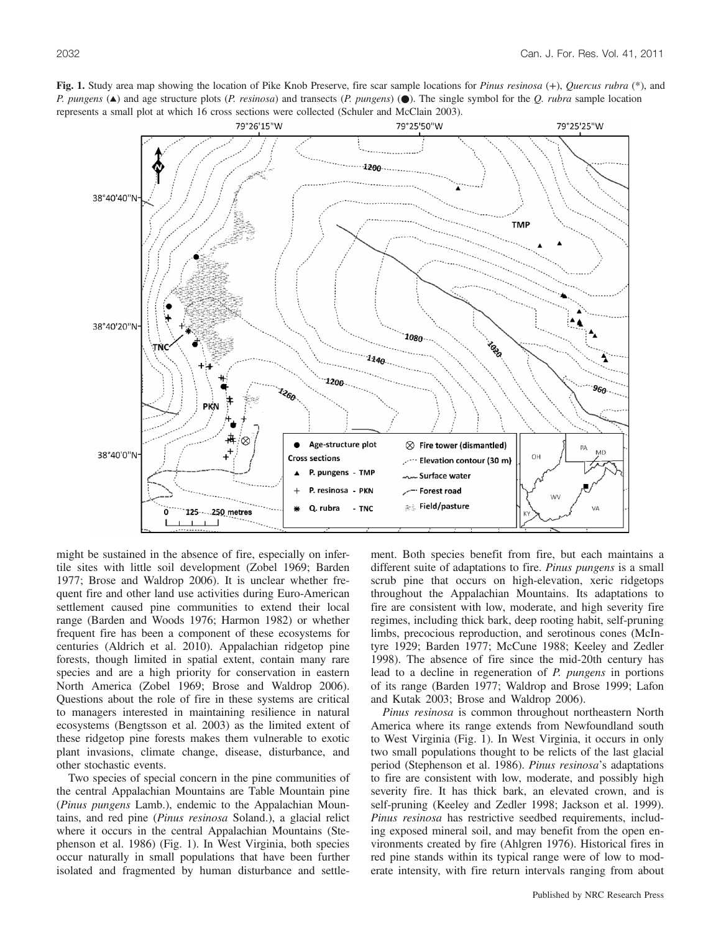Fig. 1. Study area map showing the location of Pike Knob Preserve, fire scar sample locations for Pinus resinosa (+), Quercus rubra (\*), and P. pungens ( $\blacktriangle$ ) and age structure plots (P. resinosa) and transects (P. pungens) ( $\blacklozenge$ ). The single symbol for the Q. rubra sample location represents a small plot at which 16 cross sections were collected (Schuler and McClain 2003).



might be sustained in the absence of fire, especially on infertile sites with little soil development (Zobel 1969; Barden 1977; Brose and Waldrop 2006). It is unclear whether frequent fire and other land use activities during Euro-American settlement caused pine communities to extend their local range (Barden and Woods 1976; Harmon 1982) or whether frequent fire has been a component of these ecosystems for centuries (Aldrich et al. 2010). Appalachian ridgetop pine forests, though limited in spatial extent, contain many rare species and are a high priority for conservation in eastern North America (Zobel 1969; Brose and Waldrop 2006). Questions about the role of fire in these systems are critical to managers interested in maintaining resilience in natural ecosystems (Bengtsson et al. 2003) as the limited extent of these ridgetop pine forests makes them vulnerable to exotic plant invasions, climate change, disease, disturbance, and other stochastic events.

Two species of special concern in the pine communities of the central Appalachian Mountains are Table Mountain pine (Pinus pungens Lamb.), endemic to the Appalachian Mountains, and red pine (Pinus resinosa Soland.), a glacial relict where it occurs in the central Appalachian Mountains (Stephenson et al. 1986) (Fig. 1). In West Virginia, both species occur naturally in small populations that have been further isolated and fragmented by human disturbance and settlement. Both species benefit from fire, but each maintains a different suite of adaptations to fire. Pinus pungens is a small scrub pine that occurs on high-elevation, xeric ridgetops throughout the Appalachian Mountains. Its adaptations to fire are consistent with low, moderate, and high severity fire regimes, including thick bark, deep rooting habit, self-pruning limbs, precocious reproduction, and serotinous cones (McIntyre 1929; Barden 1977; McCune 1988; Keeley and Zedler 1998). The absence of fire since the mid-20th century has lead to a decline in regeneration of P. pungens in portions of its range (Barden 1977; Waldrop and Brose 1999; Lafon and Kutak 2003; Brose and Waldrop 2006).

Pinus resinosa is common throughout northeastern North America where its range extends from Newfoundland south to West Virginia (Fig. 1). In West Virginia, it occurs in only two small populations thought to be relicts of the last glacial period (Stephenson et al. 1986). Pinus resinosa's adaptations to fire are consistent with low, moderate, and possibly high severity fire. It has thick bark, an elevated crown, and is self-pruning (Keeley and Zedler 1998; Jackson et al. 1999). Pinus resinosa has restrictive seedbed requirements, including exposed mineral soil, and may benefit from the open environments created by fire (Ahlgren 1976). Historical fires in red pine stands within its typical range were of low to moderate intensity, with fire return intervals ranging from about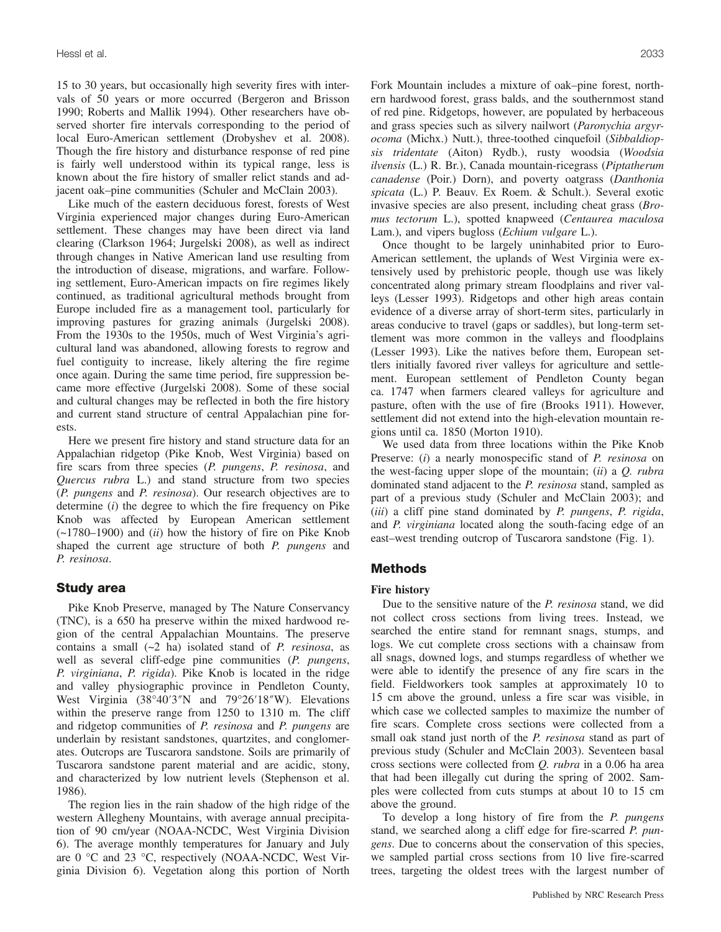15 to 30 years, but occasionally high severity fires with intervals of 50 years or more occurred (Bergeron and Brisson 1990; Roberts and Mallik 1994). Other researchers have observed shorter fire intervals corresponding to the period of local Euro-American settlement (Drobyshev et al. 2008). Though the fire history and disturbance response of red pine is fairly well understood within its typical range, less is known about the fire history of smaller relict stands and adjacent oak–pine communities (Schuler and McClain 2003).

Like much of the eastern deciduous forest, forests of West Virginia experienced major changes during Euro-American settlement. These changes may have been direct via land clearing (Clarkson 1964; Jurgelski 2008), as well as indirect through changes in Native American land use resulting from the introduction of disease, migrations, and warfare. Following settlement, Euro-American impacts on fire regimes likely continued, as traditional agricultural methods brought from Europe included fire as a management tool, particularly for improving pastures for grazing animals (Jurgelski 2008). From the 1930s to the 1950s, much of West Virginia's agricultural land was abandoned, allowing forests to regrow and fuel contiguity to increase, likely altering the fire regime once again. During the same time period, fire suppression became more effective (Jurgelski 2008). Some of these social and cultural changes may be reflected in both the fire history and current stand structure of central Appalachian pine forests.

Here we present fire history and stand structure data for an Appalachian ridgetop (Pike Knob, West Virginia) based on fire scars from three species (P. pungens, P. resinosa, and Quercus rubra L.) and stand structure from two species (P. pungens and P. resinosa). Our research objectives are to determine  $(i)$  the degree to which the fire frequency on Pike Knob was affected by European American settlement  $(-1780-1900)$  and *(ii)* how the history of fire on Pike Knob shaped the current age structure of both *P. pungens* and P. resinosa.

# Study area

Pike Knob Preserve, managed by The Nature Conservancy (TNC), is a 650 ha preserve within the mixed hardwood region of the central Appalachian Mountains. The preserve contains a small  $(\sim 2$  ha) isolated stand of *P. resinosa*, as well as several cliff-edge pine communities (P. pungens, P. virginiana, P. rigida). Pike Knob is located in the ridge and valley physiographic province in Pendleton County, West Virginia (38°40′3″N and 79°26′18″W). Elevations within the preserve range from 1250 to 1310 m. The cliff and ridgetop communities of P. resinosa and P. pungens are underlain by resistant sandstones, quartzites, and conglomerates. Outcrops are Tuscarora sandstone. Soils are primarily of Tuscarora sandstone parent material and are acidic, stony, and characterized by low nutrient levels (Stephenson et al. 1986).

The region lies in the rain shadow of the high ridge of the western Allegheny Mountains, with average annual precipitation of 90 cm/year (NOAA-NCDC, West Virginia Division 6). The average monthly temperatures for January and July are 0 °C and 23 °C, respectively (NOAA-NCDC, West Virginia Division 6). Vegetation along this portion of North Fork Mountain includes a mixture of oak–pine forest, northern hardwood forest, grass balds, and the southernmost stand of red pine. Ridgetops, however, are populated by herbaceous and grass species such as silvery nailwort (Paronychia argyrocoma (Michx.) Nutt.), three-toothed cinquefoil (Sibbaldiopsis tridentate (Aiton) Rydb.), rusty woodsia (Woodsia ilvensis (L.) R. Br.), Canada mountain-ricegrass (Piptatherum canadense (Poir.) Dorn), and poverty oatgrass (Danthonia spicata (L.) P. Beauv. Ex Roem. & Schult.). Several exotic invasive species are also present, including cheat grass (Bromus tectorum L.), spotted knapweed (Centaurea maculosa Lam.), and vipers bugloss (*Echium vulgare L.*).

Once thought to be largely uninhabited prior to Euro-American settlement, the uplands of West Virginia were extensively used by prehistoric people, though use was likely concentrated along primary stream floodplains and river valleys (Lesser 1993). Ridgetops and other high areas contain evidence of a diverse array of short-term sites, particularly in areas conducive to travel (gaps or saddles), but long-term settlement was more common in the valleys and floodplains (Lesser 1993). Like the natives before them, European settlers initially favored river valleys for agriculture and settlement. European settlement of Pendleton County began ca. 1747 when farmers cleared valleys for agriculture and pasture, often with the use of fire (Brooks 1911). However, settlement did not extend into the high-elevation mountain regions until ca. 1850 (Morton 1910).

We used data from three locations within the Pike Knob Preserve: (i) a nearly monospecific stand of *P. resinosa* on the west-facing upper slope of the mountain; *(ii)* a  $Q$ . *rubra* dominated stand adjacent to the P. resinosa stand, sampled as part of a previous study (Schuler and McClain 2003); and (*iii*) a cliff pine stand dominated by *P. pungens*, *P. rigida*, and P. virginiana located along the south-facing edge of an east–west trending outcrop of Tuscarora sandstone (Fig. 1).

# Methods

#### Fire history

Due to the sensitive nature of the P. resinosa stand, we did not collect cross sections from living trees. Instead, we searched the entire stand for remnant snags, stumps, and logs. We cut complete cross sections with a chainsaw from all snags, downed logs, and stumps regardless of whether we were able to identify the presence of any fire scars in the field. Fieldworkers took samples at approximately 10 to 15 cm above the ground, unless a fire scar was visible, in which case we collected samples to maximize the number of fire scars. Complete cross sections were collected from a small oak stand just north of the *P. resinosa* stand as part of previous study (Schuler and McClain 2003). Seventeen basal cross sections were collected from Q. rubra in a 0.06 ha area that had been illegally cut during the spring of 2002. Samples were collected from cuts stumps at about 10 to 15 cm above the ground.

To develop a long history of fire from the P. pungens stand, we searched along a cliff edge for fire-scarred P. pungens. Due to concerns about the conservation of this species, we sampled partial cross sections from 10 live fire-scarred trees, targeting the oldest trees with the largest number of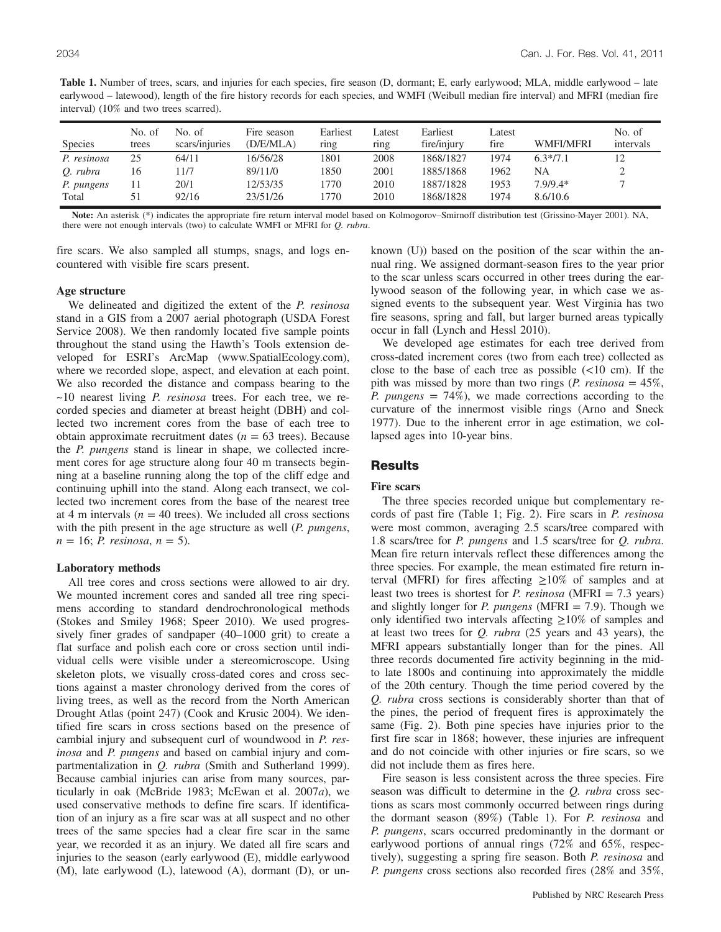Table 1. Number of trees, scars, and injuries for each species, fire season (D, dormant; E, early earlywood; MLA, middle earlywood – late earlywood – latewood), length of the fire history records for each species, and WMFI (Weibull median fire interval) and MFRI (median fire interval) (10% and two trees scarred).

| <b>Species</b> | No. of<br>trees | No. of<br>scars/injuries | Fire season<br>(D/E/MLA) | Earliest<br>ring | Latest<br>ring | Earliest<br>fire/injury | Latest<br>fire | <b>WMFI/MFRI</b> | No. of<br>intervals |
|----------------|-----------------|--------------------------|--------------------------|------------------|----------------|-------------------------|----------------|------------------|---------------------|
| P. resinosa    | 25              | 64/11                    | 16/56/28                 | 1801             | 2008           | 1868/1827               | 1974           | $6.3*77.1$       | 12                  |
| Q. rubra       | 16              | 1/7                      | 89/11/0                  | 1850             | 2001           | 1885/1868               | 1962           | NA               |                     |
| P. pungens     |                 | 20/1                     | 12/53/35                 | 1770             | 2010           | 1887/1828               | 1953           | $7.9/9.4*$       |                     |
| Total          | 51              | 92/16                    | 23/51/26                 | 1770             | 2010           | 1868/1828               | 1974           | 8.6/10.6         |                     |

Note: An asterisk (\*) indicates the appropriate fire return interval model based on Kolmogorov–Smirnoff distribution test (Grissino-Mayer 2001). NA, there were not enough intervals (two) to calculate WMFI or MFRI for Q. rubra.

fire scars. We also sampled all stumps, snags, and logs encountered with visible fire scars present.

#### Age structure

We delineated and digitized the extent of the P. resinosa stand in a GIS from a 2007 aerial photograph (USDA Forest Service 2008). We then randomly located five sample points throughout the stand using the Hawth's Tools extension developed for ESRI's ArcMap (www.SpatialEcology.com), where we recorded slope, aspect, and elevation at each point. We also recorded the distance and compass bearing to the  $\sim$ 10 nearest living *P. resinosa* trees. For each tree, we recorded species and diameter at breast height (DBH) and collected two increment cores from the base of each tree to obtain approximate recruitment dates ( $n = 63$  trees). Because the P. pungens stand is linear in shape, we collected increment cores for age structure along four 40 m transects beginning at a baseline running along the top of the cliff edge and continuing uphill into the stand. Along each transect, we collected two increment cores from the base of the nearest tree at 4 m intervals ( $n = 40$  trees). We included all cross sections with the pith present in the age structure as well (*P. pungens*,  $n = 16$ ; *P. resinosa*,  $n = 5$ ).

#### Laboratory methods

All tree cores and cross sections were allowed to air dry. We mounted increment cores and sanded all tree ring specimens according to standard dendrochronological methods (Stokes and Smiley 1968; Speer 2010). We used progressively finer grades of sandpaper (40–1000 grit) to create a flat surface and polish each core or cross section until individual cells were visible under a stereomicroscope. Using skeleton plots, we visually cross-dated cores and cross sections against a master chronology derived from the cores of living trees, as well as the record from the North American Drought Atlas (point 247) (Cook and Krusic 2004). We identified fire scars in cross sections based on the presence of cambial injury and subsequent curl of woundwood in P. resinosa and P. pungens and based on cambial injury and compartmentalization in Q. rubra (Smith and Sutherland 1999). Because cambial injuries can arise from many sources, particularly in oak (McBride 1983; McEwan et al. 2007a), we used conservative methods to define fire scars. If identification of an injury as a fire scar was at all suspect and no other trees of the same species had a clear fire scar in the same year, we recorded it as an injury. We dated all fire scars and injuries to the season (early earlywood (E), middle earlywood (M), late earlywood (L), latewood (A), dormant (D), or unknown (U)) based on the position of the scar within the annual ring. We assigned dormant-season fires to the year prior to the scar unless scars occurred in other trees during the earlywood season of the following year, in which case we assigned events to the subsequent year. West Virginia has two fire seasons, spring and fall, but larger burned areas typically occur in fall (Lynch and Hessl 2010).

We developed age estimates for each tree derived from cross-dated increment cores (two from each tree) collected as close to the base of each tree as possible  $(<10$  cm). If the pith was missed by more than two rings (*P. resinosa* =  $45\%$ , *P. pungens*  $= 74\%$ , we made corrections according to the curvature of the innermost visible rings (Arno and Sneck 1977). Due to the inherent error in age estimation, we collapsed ages into 10-year bins.

# **Results**

#### Fire scars

The three species recorded unique but complementary records of past fire (Table 1; Fig. 2). Fire scars in P. resinosa were most common, averaging 2.5 scars/tree compared with 1.8 scars/tree for P. pungens and 1.5 scars/tree for Q. rubra. Mean fire return intervals reflect these differences among the three species. For example, the mean estimated fire return interval (MFRI) for fires affecting  $\geq 10\%$  of samples and at least two trees is shortest for *P. resinosa* (MFRI = 7.3 years) and slightly longer for *P. pungens* (MFRI  $= 7.9$ ). Though we only identified two intervals affecting  $\geq 10\%$  of samples and at least two trees for  $Q$ . *rubra* (25 years and 43 years), the MFRI appears substantially longer than for the pines. All three records documented fire activity beginning in the midto late 1800s and continuing into approximately the middle of the 20th century. Though the time period covered by the Q. rubra cross sections is considerably shorter than that of the pines, the period of frequent fires is approximately the same (Fig. 2). Both pine species have injuries prior to the first fire scar in 1868; however, these injuries are infrequent and do not coincide with other injuries or fire scars, so we did not include them as fires here.

Fire season is less consistent across the three species. Fire season was difficult to determine in the Q. rubra cross sections as scars most commonly occurred between rings during the dormant season (89%) (Table 1). For P. resinosa and P. pungens, scars occurred predominantly in the dormant or earlywood portions of annual rings (72% and 65%, respectively), suggesting a spring fire season. Both P. resinosa and P. pungens cross sections also recorded fires (28% and 35%,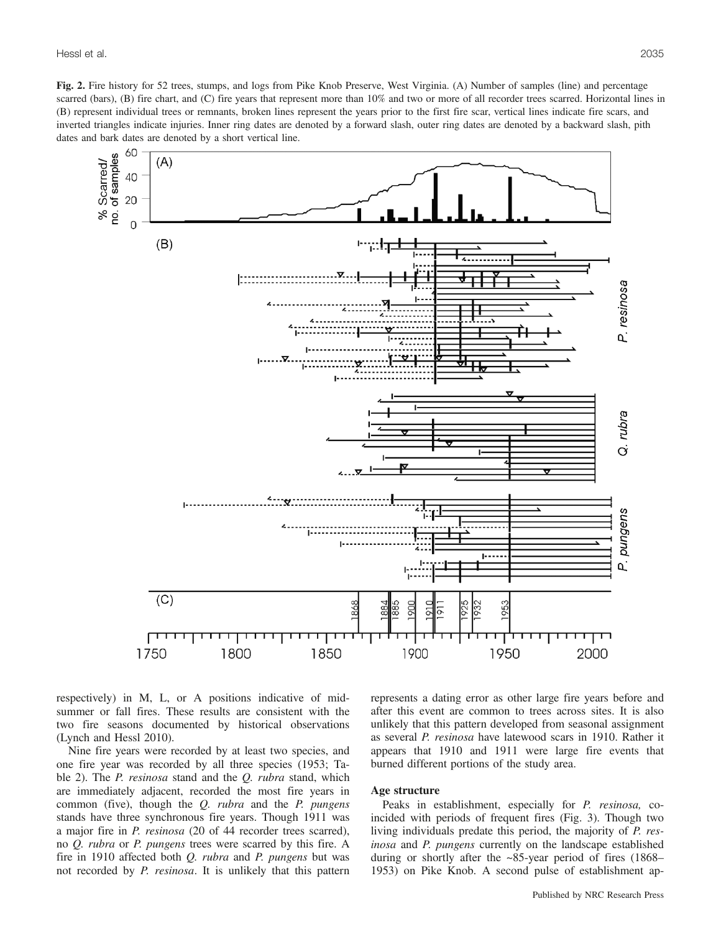Fig. 2. Fire history for 52 trees, stumps, and logs from Pike Knob Preserve, West Virginia. (A) Number of samples (line) and percentage scarred (bars), (B) fire chart, and (C) fire years that represent more than 10% and two or more of all recorder trees scarred. Horizontal lines in (B) represent individual trees or remnants, broken lines represent the years prior to the first fire scar, vertical lines indicate fire scars, and inverted triangles indicate injuries. Inner ring dates are denoted by a forward slash, outer ring dates are denoted by a backward slash, pith dates and bark dates are denoted by a short vertical line.



respectively) in M, L, or A positions indicative of midsummer or fall fires. These results are consistent with the two fire seasons documented by historical observations (Lynch and Hessl 2010).

Nine fire years were recorded by at least two species, and one fire year was recorded by all three species (1953; Table 2). The *P. resinosa* stand and the *Q. rubra* stand, which are immediately adjacent, recorded the most fire years in common (five), though the Q. rubra and the P. pungens stands have three synchronous fire years. Though 1911 was a major fire in P. resinosa (20 of 44 recorder trees scarred), no Q. rubra or P. pungens trees were scarred by this fire. A fire in 1910 affected both *Q. rubra* and *P. pungens* but was not recorded by *P. resinosa*. It is unlikely that this pattern represents a dating error as other large fire years before and after this event are common to trees across sites. It is also unlikely that this pattern developed from seasonal assignment as several P. resinosa have latewood scars in 1910. Rather it appears that 1910 and 1911 were large fire events that burned different portions of the study area.

#### Age structure

Peaks in establishment, especially for P. resinosa, coincided with periods of frequent fires (Fig. 3). Though two living individuals predate this period, the majority of P. resinosa and P. pungens currently on the landscape established during or shortly after the ~85-year period of fires (1868– 1953) on Pike Knob. A second pulse of establishment ap-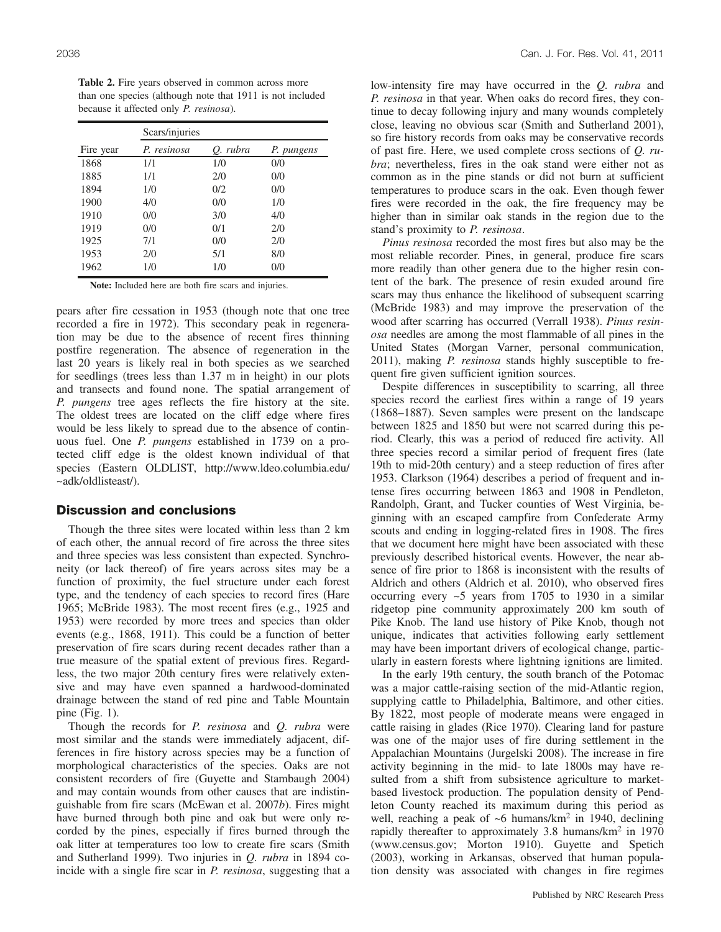Table 2. Fire years observed in common across more than one species (although note that 1911 is not included because it affected only P. resinosa).

|           | Scars/injuries |          |            |  |  |  |
|-----------|----------------|----------|------------|--|--|--|
| Fire year | P. resinosa    | Q. rubra | P. pungens |  |  |  |
| 1868      | 1/1            | 1/0      | 0/0        |  |  |  |
| 1885      | 1/1            | 2/0      | 0/0        |  |  |  |
| 1894      | 1/0            | 0/2      | 0/0        |  |  |  |
| 1900      | 4/0            | 0/0      | 1/0        |  |  |  |
| 1910      | 0/0            | 3/0      | 4/0        |  |  |  |
| 1919      | 0/0            | 0/1      | 2/0        |  |  |  |
| 1925      | 7/1            | 0/0      | 2/0        |  |  |  |
| 1953      | 2/0            | 5/1      | 8/0        |  |  |  |
| 1962      | 1/0            | 1/0      | 0/0        |  |  |  |

Note: Included here are both fire scars and injuries.

pears after fire cessation in 1953 (though note that one tree recorded a fire in 1972). This secondary peak in regeneration may be due to the absence of recent fires thinning postfire regeneration. The absence of regeneration in the last 20 years is likely real in both species as we searched for seedlings (trees less than 1.37 m in height) in our plots and transects and found none. The spatial arrangement of P. pungens tree ages reflects the fire history at the site. The oldest trees are located on the cliff edge where fires would be less likely to spread due to the absence of continuous fuel. One P. pungens established in 1739 on a protected cliff edge is the oldest known individual of that species (Eastern OLDLIST, http://www.ldeo.columbia.edu/ ~adk/oldlisteast/).

# Discussion and conclusions

Though the three sites were located within less than 2 km of each other, the annual record of fire across the three sites and three species was less consistent than expected. Synchroneity (or lack thereof) of fire years across sites may be a function of proximity, the fuel structure under each forest type, and the tendency of each species to record fires (Hare 1965; McBride 1983). The most recent fires (e.g., 1925 and 1953) were recorded by more trees and species than older events (e.g., 1868, 1911). This could be a function of better preservation of fire scars during recent decades rather than a true measure of the spatial extent of previous fires. Regardless, the two major 20th century fires were relatively extensive and may have even spanned a hardwood-dominated drainage between the stand of red pine and Table Mountain pine (Fig. 1).

Though the records for P. resinosa and O. rubra were most similar and the stands were immediately adjacent, differences in fire history across species may be a function of morphological characteristics of the species. Oaks are not consistent recorders of fire (Guyette and Stambaugh 2004) and may contain wounds from other causes that are indistinguishable from fire scars (McEwan et al. 2007b). Fires might have burned through both pine and oak but were only recorded by the pines, especially if fires burned through the oak litter at temperatures too low to create fire scars (Smith and Sutherland 1999). Two injuries in Q. rubra in 1894 coincide with a single fire scar in P. resinosa, suggesting that a

low-intensity fire may have occurred in the *O. rubra* and P. resinosa in that year. When oaks do record fires, they continue to decay following injury and many wounds completely close, leaving no obvious scar (Smith and Sutherland 2001), so fire history records from oaks may be conservative records of past fire. Here, we used complete cross sections of Q. rubra; nevertheless, fires in the oak stand were either not as common as in the pine stands or did not burn at sufficient temperatures to produce scars in the oak. Even though fewer fires were recorded in the oak, the fire frequency may be higher than in similar oak stands in the region due to the stand's proximity to P. resinosa.

Pinus resinosa recorded the most fires but also may be the most reliable recorder. Pines, in general, produce fire scars more readily than other genera due to the higher resin content of the bark. The presence of resin exuded around fire scars may thus enhance the likelihood of subsequent scarring (McBride 1983) and may improve the preservation of the wood after scarring has occurred (Verrall 1938). Pinus resinosa needles are among the most flammable of all pines in the United States (Morgan Varner, personal communication, 2011), making P. resinosa stands highly susceptible to frequent fire given sufficient ignition sources.

Despite differences in susceptibility to scarring, all three species record the earliest fires within a range of 19 years (1868–1887). Seven samples were present on the landscape between 1825 and 1850 but were not scarred during this period. Clearly, this was a period of reduced fire activity. All three species record a similar period of frequent fires (late 19th to mid-20th century) and a steep reduction of fires after 1953. Clarkson (1964) describes a period of frequent and intense fires occurring between 1863 and 1908 in Pendleton, Randolph, Grant, and Tucker counties of West Virginia, beginning with an escaped campfire from Confederate Army scouts and ending in logging-related fires in 1908. The fires that we document here might have been associated with these previously described historical events. However, the near absence of fire prior to 1868 is inconsistent with the results of Aldrich and others (Aldrich et al. 2010), who observed fires occurring every ~5 years from 1705 to 1930 in a similar ridgetop pine community approximately 200 km south of Pike Knob. The land use history of Pike Knob, though not unique, indicates that activities following early settlement may have been important drivers of ecological change, particularly in eastern forests where lightning ignitions are limited.

In the early 19th century, the south branch of the Potomac was a major cattle-raising section of the mid-Atlantic region, supplying cattle to Philadelphia, Baltimore, and other cities. By 1822, most people of moderate means were engaged in cattle raising in glades (Rice 1970). Clearing land for pasture was one of the major uses of fire during settlement in the Appalachian Mountains (Jurgelski 2008). The increase in fire activity beginning in the mid- to late 1800s may have resulted from a shift from subsistence agriculture to marketbased livestock production. The population density of Pendleton County reached its maximum during this period as well, reaching a peak of  $~6$  humans/km<sup>2</sup> in 1940, declining rapidly thereafter to approximately 3.8 humans/km2 in 1970 (www.census.gov; Morton 1910). Guyette and Spetich (2003), working in Arkansas, observed that human population density was associated with changes in fire regimes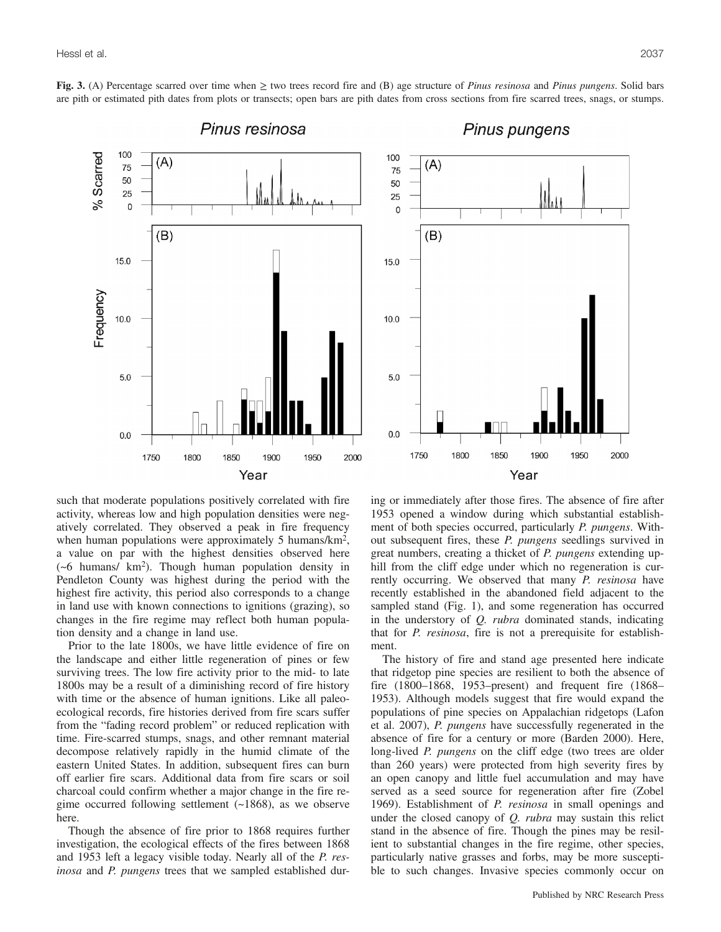Fig. 3. (A) Percentage scarred over time when  $\geq$  two trees record fire and (B) age structure of *Pinus resinosa* and *Pinus pungens*. Solid bars are pith or estimated pith dates from plots or transects; open bars are pith dates from cross sections from fire scarred trees, snags, or stumps.



Pinus pungens

such that moderate populations positively correlated with fire activity, whereas low and high population densities were negatively correlated. They observed a peak in fire frequency when human populations were approximately 5 humans/ $km^2$ , a value on par with the highest densities observed here  $(-6 \text{ humans/ km}^2)$ . Though human population density in Pendleton County was highest during the period with the highest fire activity, this period also corresponds to a change in land use with known connections to ignitions (grazing), so changes in the fire regime may reflect both human population density and a change in land use.

Prior to the late 1800s, we have little evidence of fire on the landscape and either little regeneration of pines or few surviving trees. The low fire activity prior to the mid- to late 1800s may be a result of a diminishing record of fire history with time or the absence of human ignitions. Like all paleoecological records, fire histories derived from fire scars suffer from the "fading record problem" or reduced replication with time. Fire-scarred stumps, snags, and other remnant material decompose relatively rapidly in the humid climate of the eastern United States. In addition, subsequent fires can burn off earlier fire scars. Additional data from fire scars or soil charcoal could confirm whether a major change in the fire regime occurred following settlement (~1868), as we observe here.

Though the absence of fire prior to 1868 requires further investigation, the ecological effects of the fires between 1868 and 1953 left a legacy visible today. Nearly all of the P. resinosa and P. pungens trees that we sampled established during or immediately after those fires. The absence of fire after 1953 opened a window during which substantial establishment of both species occurred, particularly P. pungens. Without subsequent fires, these *P. pungens* seedlings survived in great numbers, creating a thicket of P. pungens extending uphill from the cliff edge under which no regeneration is currently occurring. We observed that many P. resinosa have recently established in the abandoned field adjacent to the sampled stand (Fig. 1), and some regeneration has occurred in the understory of  $Q$ . *rubra* dominated stands, indicating that for P. resinosa, fire is not a prerequisite for establishment.

1850

1900

Year

1950

2000

The history of fire and stand age presented here indicate that ridgetop pine species are resilient to both the absence of fire (1800–1868, 1953–present) and frequent fire (1868– 1953). Although models suggest that fire would expand the populations of pine species on Appalachian ridgetops (Lafon et al. 2007), P. pungens have successfully regenerated in the absence of fire for a century or more (Barden 2000). Here, long-lived *P. pungens* on the cliff edge (two trees are older than 260 years) were protected from high severity fires by an open canopy and little fuel accumulation and may have served as a seed source for regeneration after fire (Zobel 1969). Establishment of P. resinosa in small openings and under the closed canopy of  $Q$ . *rubra* may sustain this relict stand in the absence of fire. Though the pines may be resilient to substantial changes in the fire regime, other species, particularly native grasses and forbs, may be more susceptible to such changes. Invasive species commonly occur on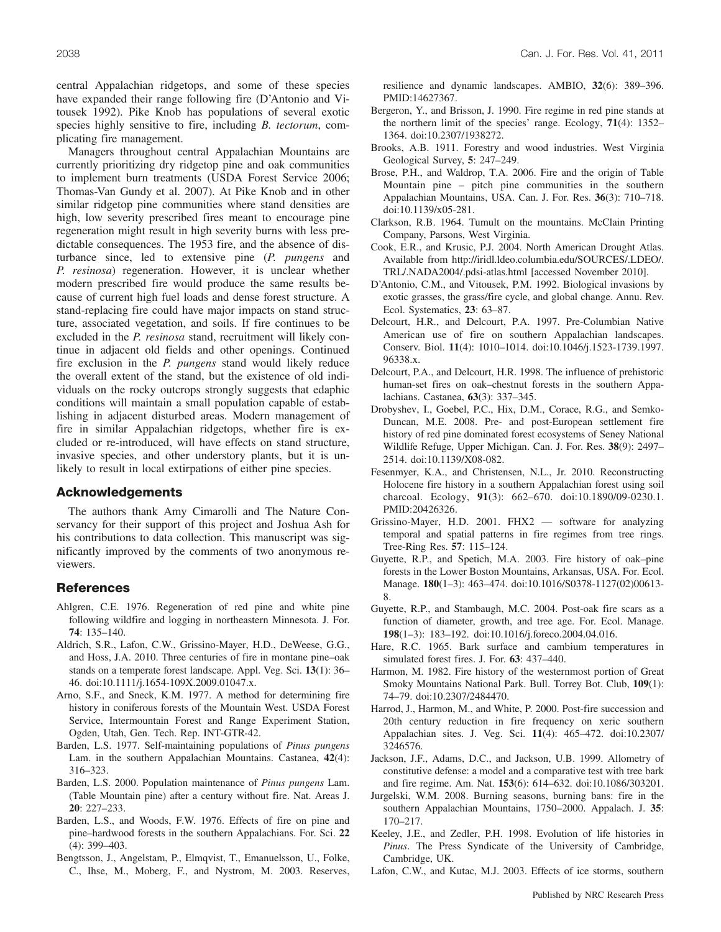central Appalachian ridgetops, and some of these species have expanded their range following fire (D'Antonio and Vitousek 1992). Pike Knob has populations of several exotic species highly sensitive to fire, including B. tectorum, complicating fire management.

Managers throughout central Appalachian Mountains are currently prioritizing dry ridgetop pine and oak communities to implement burn treatments (USDA Forest Service 2006; Thomas-Van Gundy et al. 2007). At Pike Knob and in other similar ridgetop pine communities where stand densities are high, low severity prescribed fires meant to encourage pine regeneration might result in high severity burns with less predictable consequences. The 1953 fire, and the absence of disturbance since, led to extensive pine  $(P.$  pungens and P. resinosa) regeneration. However, it is unclear whether modern prescribed fire would produce the same results because of current high fuel loads and dense forest structure. A stand-replacing fire could have major impacts on stand structure, associated vegetation, and soils. If fire continues to be excluded in the *P. resinosa* stand, recruitment will likely continue in adjacent old fields and other openings. Continued fire exclusion in the P. pungens stand would likely reduce the overall extent of the stand, but the existence of old individuals on the rocky outcrops strongly suggests that edaphic conditions will maintain a small population capable of establishing in adjacent disturbed areas. Modern management of fire in similar Appalachian ridgetops, whether fire is excluded or re-introduced, will have effects on stand structure, invasive species, and other understory plants, but it is unlikely to result in local extirpations of either pine species.

#### Acknowledgements

The authors thank Amy Cimarolli and The Nature Conservancy for their support of this project and Joshua Ash for his contributions to data collection. This manuscript was significantly improved by the comments of two anonymous reviewers.

## References

- Ahlgren, C.E. 1976. Regeneration of red pine and white pine following wildfire and logging in northeastern Minnesota. J. For. 74: 135–140.
- Aldrich, S.R., Lafon, C.W., Grissino-Mayer, H.D., DeWeese, G.G., and Hoss, J.A. 2010. Three centuries of fire in montane pine–oak stands on a temperate forest landscape. Appl. Veg. Sci. 13(1): 36– 46. doi:10.1111/j.1654-109X.2009.01047.x.
- Arno, S.F., and Sneck, K.M. 1977. A method for determining fire history in coniferous forests of the Mountain West. USDA Forest Service, Intermountain Forest and Range Experiment Station, Ogden, Utah, Gen. Tech. Rep. INT-GTR-42.
- Barden, L.S. 1977. Self-maintaining populations of Pinus pungens Lam. in the southern Appalachian Mountains. Castanea, 42(4): 316–323.
- Barden, L.S. 2000. Population maintenance of Pinus pungens Lam. (Table Mountain pine) after a century without fire. Nat. Areas J. 20: 227–233.
- Barden, L.S., and Woods, F.W. 1976. Effects of fire on pine and pine–hardwood forests in the southern Appalachians. For. Sci. 22 (4): 399–403.
- Bengtsson, J., Angelstam, P., Elmqvist, T., Emanuelsson, U., Folke, C., Ihse, M., Moberg, F., and Nystrom, M. 2003. Reserves,

resilience and dynamic landscapes. AMBIO, 32(6): 389–396. PMID:14627367.

- Bergeron, Y., and Brisson, J. 1990. Fire regime in red pine stands at the northern limit of the species' range. Ecology, 71(4): 1352– 1364. doi:10.2307/1938272.
- Brooks, A.B. 1911. Forestry and wood industries. West Virginia Geological Survey, 5: 247–249.
- Brose, P.H., and Waldrop, T.A. 2006. Fire and the origin of Table Mountain pine – pitch pine communities in the southern Appalachian Mountains, USA. Can. J. For. Res. 36(3): 710–718. doi:10.1139/x05-281.
- Clarkson, R.B. 1964. Tumult on the mountains. McClain Printing Company, Parsons, West Virginia.
- Cook, E.R., and Krusic, P.J. 2004. North American Drought Atlas. Available from http://iridl.ldeo.columbia.edu/SOURCES/.LDEO/. TRL/.NADA2004/.pdsi-atlas.html [accessed November 2010].
- D'Antonio, C.M., and Vitousek, P.M. 1992. Biological invasions by exotic grasses, the grass/fire cycle, and global change. Annu. Rev. Ecol. Systematics, 23: 63–87.
- Delcourt, H.R., and Delcourt, P.A. 1997. Pre-Columbian Native American use of fire on southern Appalachian landscapes. Conserv. Biol. 11(4): 1010–1014. doi:10.1046/j.1523-1739.1997. 96338.x.
- Delcourt, P.A., and Delcourt, H.R. 1998. The influence of prehistoric human-set fires on oak–chestnut forests in the southern Appalachians. Castanea, 63(3): 337–345.
- Drobyshev, I., Goebel, P.C., Hix, D.M., Corace, R.G., and Semko-Duncan, M.E. 2008. Pre- and post-European settlement fire history of red pine dominated forest ecosystems of Seney National Wildlife Refuge, Upper Michigan. Can. J. For. Res. 38(9): 2497– 2514. doi:10.1139/X08-082.
- Fesenmyer, K.A., and Christensen, N.L., Jr. 2010. Reconstructing Holocene fire history in a southern Appalachian forest using soil charcoal. Ecology, 91(3): 662–670. doi:10.1890/09-0230.1. PMID:20426326.
- Grissino-Mayer, H.D. 2001. FHX2 software for analyzing temporal and spatial patterns in fire regimes from tree rings. Tree-Ring Res. 57: 115–124.
- Guyette, R.P., and Spetich, M.A. 2003. Fire history of oak–pine forests in the Lower Boston Mountains, Arkansas, USA. For. Ecol. Manage. 180(1–3): 463–474. doi:10.1016/S0378-1127(02)00613- 8.
- Guyette, R.P., and Stambaugh, M.C. 2004. Post-oak fire scars as a function of diameter, growth, and tree age. For. Ecol. Manage. 198(1–3): 183–192. doi:10.1016/j.foreco.2004.04.016.
- Hare, R.C. 1965. Bark surface and cambium temperatures in simulated forest fires. J. For. 63: 437–440.
- Harmon, M. 1982. Fire history of the westernmost portion of Great Smoky Mountains National Park. Bull. Torrey Bot. Club, 109(1): 74–79. doi:10.2307/2484470.
- Harrod, J., Harmon, M., and White, P. 2000. Post-fire succession and 20th century reduction in fire frequency on xeric southern Appalachian sites. J. Veg. Sci. 11(4): 465–472. doi:10.2307/ 3246576.
- Jackson, J.F., Adams, D.C., and Jackson, U.B. 1999. Allometry of constitutive defense: a model and a comparative test with tree bark and fire regime. Am. Nat. 153(6): 614–632. doi:10.1086/303201.
- Jurgelski, W.M. 2008. Burning seasons, burning bans: fire in the southern Appalachian Mountains, 1750–2000. Appalach. J. 35: 170–217.
- Keeley, J.E., and Zedler, P.H. 1998. Evolution of life histories in Pinus. The Press Syndicate of the University of Cambridge, Cambridge, UK.
- Lafon, C.W., and Kutac, M.J. 2003. Effects of ice storms, southern